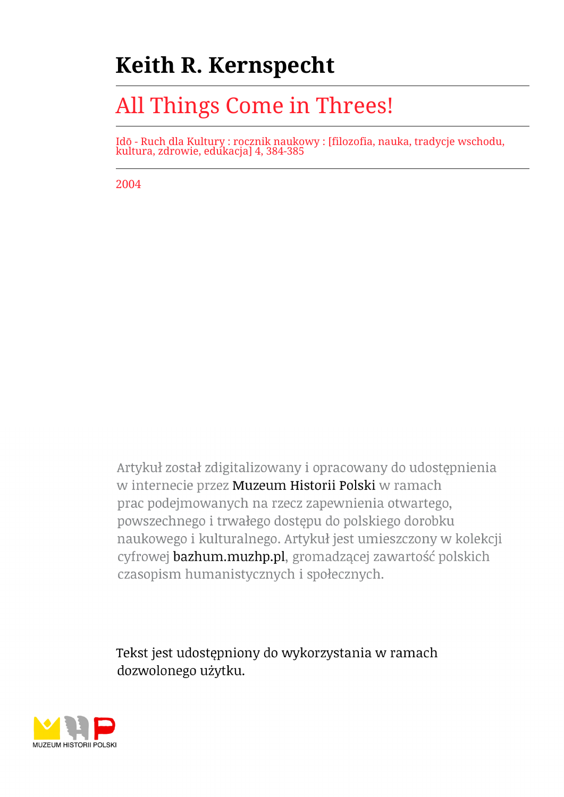## **Keith R. Kernspecht**

## All Things Come in Threes!

Idō - Ruch dla Kultury : rocznik naukowy : [filozofia, nauka, tradycje wschodu, kultura, zdrowie, edukacja] 4, 384-385

2004

Artykuł został zdigitalizowany i opracowany do udostępnienia w internecie przez Muzeum Historii Polski w ramach prac podejmowanych na rzecz zapewnienia otwartego, powszechnego i trwałego dostępu do polskiego dorobku naukowego i kulturalnego. Artykuł jest umieszczony w kolekcji cyfrowej bazhum.muzhp.pl, gromadzącej zawartość polskich czasopism humanistycznych i społecznych.

Tekst jest udostępniony do wykorzystania w ramach dozwolonego użytku.

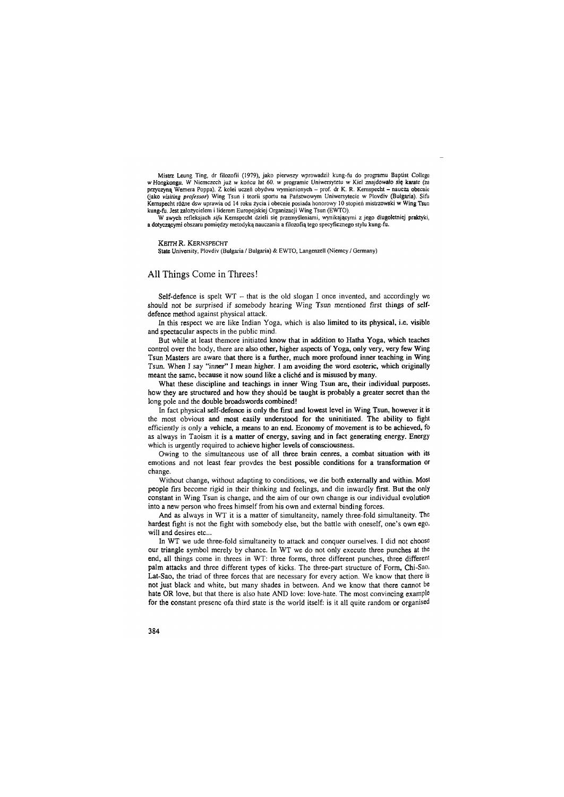Mistrz Leung Ting, dr filozofii (1979), jako pierwszy wprowadził kung-fu do programu Baptist College w Hongkongu. W Niemczech już w końcu lat 60. w programie Uniwersytetu w Kiel znajdowało się karate (za przyczyną Wernera Poppa). Z kolei uczeń obydwu wymienionych - prof, dr K. R. Kemspecht - naucza obecnie (jako *visiting professor)* Wing Tsun i teorii sportu na Państwowym Uniwersytecie w Plovdiv (Bułgaria). Sifu Kemspecht różne dsw uprawia od 14 roku życia i obecnie posiada honorowy 10 stopień mistrzowski w Wing Tsun kung-fu. Jest założycielem i liderem Europejskiej Organizacji Wing Tsun (EWTO).

W swych refleksjach *sifu* Kemspecht dzieli się przemyśleniami, wynikającymi z jego długoletniej praktyki, a dotyczącymi obszaru pomiędzy metodyką nauczania a filozofią tego specyficznego stylu kung-fu.

## KEITH R. KERNSPECHT

State University, Plovdiv (Bułgaria / Bulgaria) & EWTO, Langenzell (Niemcy / Germany)

## **All Things Come in Threes !**

Self-defence is spelt WT - that is the old slogan I once invented, and accordingly we should not be surprised if somebody hearing Wing Tsun mentioned first things of selfdefence method against physical attack.

In this respect we are like Indian Yoga, which is also limited to its physical, i.e. visible and spectacular aspects in the public mind.

But while at least themore initiated know that in addition to Hatha Yoga, which teaches control over the body, there are also other, higher aspects of Yoga, only very, very few Wing Tsun Masters are aware that there is a further, much more profound inner teaching in Wing Tsun. When I say "inner" I mean higher. **I** am avoiding the word esoteric, which originally meant the same, because it now sound like a cliché and is misused by many.

What these discipline and teachings in inner Wing Tsun are, their individual purposes, how they are structured and how they should be taught is probably a greater secret than the long pole and the double broadswords combined!

In fact physical self-defence is only the first and lowest level in Wing Tsun, however it is the most obvious and most easily understood for the uninitiated. The ability to fight efficiently is only a vehicle, a means to an end. Economy of movement is to be achieved, fo as always in Taoism it is a matter of energy, saving and in fact generating energy. Energy which is urgently required to achieve higher levels of consciousness.

Owing to the simultaneous use of all three brain cenres, a combat situation with its emotions and not least fear provdes the best possible conditions for a transformation or change.

Without change, without adapting to conditions, we die both externally and within. Most people firs become rigid in their thinking and feelings, and die inwardly first. But the only constant in Wing Tsun is change, and the aim of our own change is our individual evolution into a new person who frees himself from his own and external binding forces.

And as always in WT it is a matter of simultaneity, namely three-fold simultaneity. The hardest fight is not the fight with somebody else, but the battle with oneself, one's own ego, will and desires etc...

In WT we ude three-fold simultaneity to attack and conquer ourselves. I did not choose our triangle symbol merely by chance. In WT we do not only execute three punches at the end, all things come in threes in WT: three forms, three different punches, three different palm attacks and three different types of kicks. The three-part structure of Form, Chi-Sao, Lat-Sao, the triad of three forces that are necessary for every action. We know that there is not just black and white, but many shades in between. And we know that there cannot be hate OR love, but that there is also hate AND love: love-hate. The most convincing example for the constant presenc ofa third state is the world itself: is it all quite random or organised